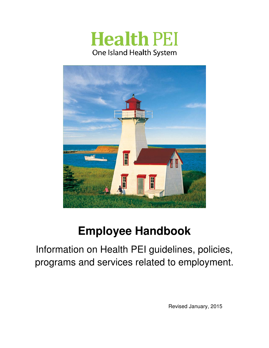# **Health PEI** One Island Health System



# **Employee Handbook**

Information on Health PEI guidelines, policies, programs and services related to employment.

Revised January, 2015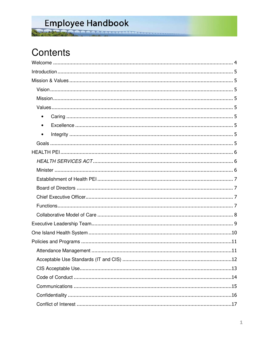# Employee Handbook A A A A A A A A A A A A A A A A

Contents

| $\bullet$ |  |  |  |  |
|-----------|--|--|--|--|
| $\bullet$ |  |  |  |  |
| $\bullet$ |  |  |  |  |
|           |  |  |  |  |
|           |  |  |  |  |
|           |  |  |  |  |
|           |  |  |  |  |
|           |  |  |  |  |
|           |  |  |  |  |
|           |  |  |  |  |
|           |  |  |  |  |
|           |  |  |  |  |
|           |  |  |  |  |
|           |  |  |  |  |
|           |  |  |  |  |
|           |  |  |  |  |
|           |  |  |  |  |
|           |  |  |  |  |
|           |  |  |  |  |
|           |  |  |  |  |
|           |  |  |  |  |
|           |  |  |  |  |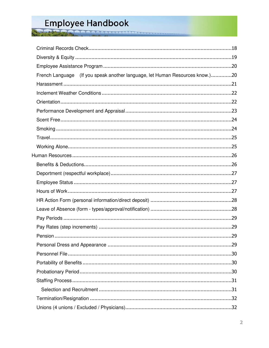砜

| French Language (If you speak another language, let Human Resources know.)20 |  |
|------------------------------------------------------------------------------|--|
|                                                                              |  |
|                                                                              |  |
|                                                                              |  |
|                                                                              |  |
|                                                                              |  |
|                                                                              |  |
|                                                                              |  |
|                                                                              |  |
|                                                                              |  |
|                                                                              |  |
|                                                                              |  |
|                                                                              |  |
|                                                                              |  |
|                                                                              |  |
|                                                                              |  |
|                                                                              |  |
|                                                                              |  |
|                                                                              |  |
|                                                                              |  |
|                                                                              |  |
|                                                                              |  |
|                                                                              |  |
|                                                                              |  |
|                                                                              |  |
|                                                                              |  |
|                                                                              |  |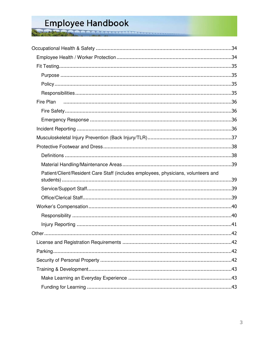Fire Plan Patient/Client/Resident Care Staff (includes employees, physicians, volunteers and 

**MARAARAARAAAAAA**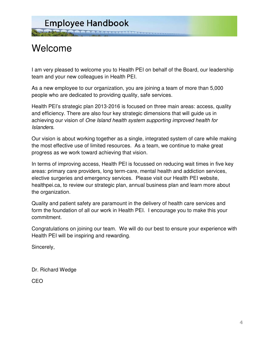# Welcome

I am very pleased to welcome you to Health PEI on behalf of the Board, our leadership team and your new colleagues in Health PEI.

As a new employee to our organization, you are joining a team of more than 5,000 people who are dedicated to providing quality, safe services.

Health PEI's strategic plan 2013-2016 is focused on three main areas: access, quality and efficiency. There are also four key strategic dimensions that will guide us in achieving our vision of One Island health system supporting improved health for Islanders.

Our vision is about working together as a single, integrated system of care while making the most effective use of limited resources. As a team, we continue to make great progress as we work toward achieving that vision.

In terms of improving access, Health PEI is focussed on reducing wait times in five key areas: primary care providers, long term-care, mental health and addiction services, elective surgeries and emergency services. Please visit our Health PEI website, healthpei.ca, to review our strategic plan, annual business plan and learn more about the organization.

Quality and patient safety are paramount in the delivery of health care services and form the foundation of all our work in Health PEI. I encourage you to make this your commitment.

Congratulations on joining our team. We will do our best to ensure your experience with Health PEI will be inspiring and rewarding.

Sincerely,

Dr. Richard Wedge

CEO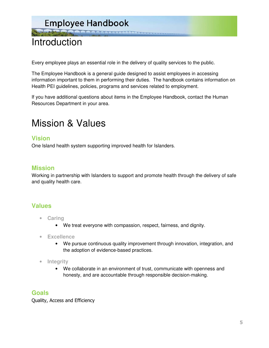**THE COORDINATIONS** 

# Introduction

Every employee plays an essential role in the delivery of quality services to the public.

The Employee Handbook is a general guide designed to assist employees in accessing information important to them in performing their duties. The handbook contains information on Health PEI guidelines, policies, programs and services related to employment.

If you have additional questions about items in the Employee Handbook, contact the Human Resources Department in your area.

# Mission & Values

### **Vision**

One Island health system supporting improved health for Islanders.

### **Mission**

Working in partnership with Islanders to support and promote health through the delivery of safe and quality health care.

### **Values**

- **Caring** 
	- We treat everyone with compassion, respect, fairness, and dignity.
- **Excellence** 
	- We pursue continuous quality improvement through innovation, integration, and the adoption of evidence-based practices.
- **Integrity** 
	- We collaborate in an environment of trust, communicate with openness and honesty, and are accountable through responsible decision-making.

### **Goals**

Quality, Access and Efficiency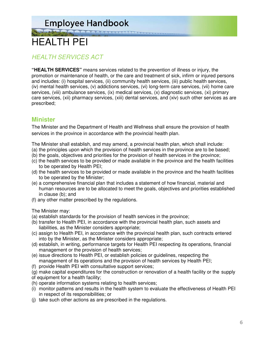**THE REAGANAGEMENT** 

# HEALTH PEI

# HEALTH SERVICES ACT

**"HEALTH SERVICES"** means services related to the prevention of illness or injury, the promotion or maintenance of health, or the care and treatment of sick, infirm or injured persons and includes: (i) hospital services, (ii) community health services, (iii) public health services, (iv) mental health services, (v) addictions services, (vi) long-term care services, (vii) home care services, (viii) ambulance services, (ix) medical services, (x) diagnostic services, (xi) primary care services, (xii) pharmacy services, (xiii) dental services, and (xiv) such other services as are prescribed;

# **Minister**

The Minister and the Department of Health and Wellness shall ensure the provision of health services in the province in accordance with the provincial health plan.

The Minister shall establish, and may amend, a provincial health plan, which shall include:

- (a) the principles upon which the provision of health services in the province are to be based;
- (b) the goals, objectives and priorities for the provision of health services in the province;
- (c) the health services to be provided or made available in the province and the health facilities to be operated by Health PEI;
- (d) the health services to be provided or made available in the province and the health facilities to be operated by the Minister;
- (e) a comprehensive financial plan that includes a statement of how financial, material and human resources are to be allocated to meet the goals, objectives and priorities established in clause (b); and
- (f) any other matter prescribed by the regulations.

The Minister may:

- (a) establish standards for the provision of health services in the province;
- (b) transfer to Health PEI, in accordance with the provincial health plan, such assets and liabilities, as the Minister considers appropriate;
- (c) assign to Health PEI, in accordance with the provincial health plan, such contracts entered into by the Minister, as the Minister considers appropriate;
- (d) establish, in writing, performance targets for Health PEI respecting its operations, financial management or the provision of health services;
- (e) issue directions to Health PEI, or establish policies or guidelines, respecting the management of its operations and the provision of health services by Health PEI;
- (f) provide Health PEI with consultative support services;

(g) make capital expenditures for the construction or renovation of a health facility or the supply of equipment for a health facility;

- (h) operate information systems relating to health services;
- (i) monitor patterns and results in the health system to evaluate the effectiveness of Health PEI in respect of its responsibilities; or
- (j) take such other actions as are prescribed in the regulations.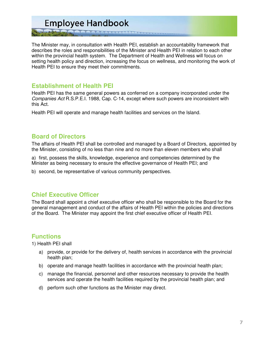THE COOL OF A REACHER

The Minister may, in consultation with Health PEI, establish an accountability framework that describes the roles and responsibilities of the Minister and Health PEI in relation to each other within the provincial health system. The Department of Health and Wellness will focus on setting health policy and direction, increasing the focus on wellness, and monitoring the work of Health PEI to ensure they meet their commitments.

#### **Establishment of Health PEI**

Health PEI has the same general powers as conferred on a company incorporated under the Companies Act R.S.P.E.I. 1988, Cap. C-14, except where such powers are inconsistent with this Act.

Health PEI will operate and manage health facilities and services on the Island.

#### **Board of Directors**

The affairs of Health PEI shall be controlled and managed by a Board of Directors, appointed by the Minister, consisting of no less than nine and no more than eleven members who shall

a) first, possess the skills, knowledge, experience and competencies determined by the Minister as being necessary to ensure the effective governance of Health PEI; and

b) second, be representative of various community perspectives.

### **Chief Executive Officer**

The Board shall appoint a chief executive officer who shall be responsible to the Board for the general management and conduct of the affairs of Health PEI within the policies and directions of the Board. The Minister may appoint the first chief executive officer of Health PEI.

### **Functions**

1) Health PEI shall

- a) provide, or provide for the delivery of, health services in accordance with the provincial health plan;
- b) operate and manage health facilities in accordance with the provincial health plan;
- c) manage the financial, personnel and other resources necessary to provide the health services and operate the health facilities required by the provincial health plan; and
- d) perform such other functions as the Minister may direct.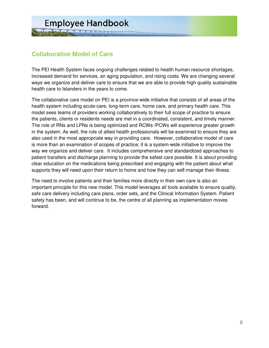# **Collaborative Model of Care**

The PEI Health System faces ongoing challenges related to health human resource shortages, increased demand for services, an aging population, and rising costs. We are changing several ways we organize and deliver care to ensure that we are able to provide high quality sustainable health care to Islanders in the years to come.

The collaborative care model on PEI is a province-wide initiative that consists of all areas of the health system including acute-care, long-term care, home care, and primary health care. This model sees teams of providers working collaboratively to their full scope of practice to ensure the patients, clients or residents needs are met in a coordinated, consistent, and timely manner. The role of RNs and LPNs is being optimized and RCWs /PCWs will experience greater growth in the system. As well, the role of allied health professionals will be examined to ensure they are also used in the most appropriate way in providing care. However, collaborative model of care is more than an examination of scopes of practice; it is a system-wide initiative to improve the way we organize and deliver care. It includes comprehensive and standardized approaches to patient transfers and discharge planning to provide the safest care possible. It is about providing clear education on the medications being prescribed and engaging with the patient about what supports they will need upon their return to home and how they can self-manage their illness.

The need to involve patients and their families more directly in their own care is also an important principle for this new model. This model leverages all tools available to ensure quality, safe care delivery including care plans, order sets, and the Clinical Information System. Patient safety has been, and will continue to be, the centre of all planning as implementation moves forward.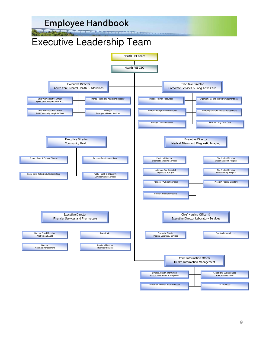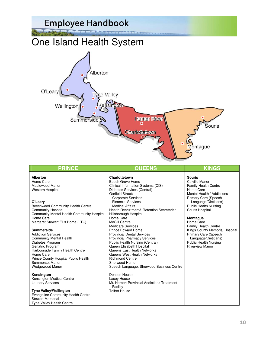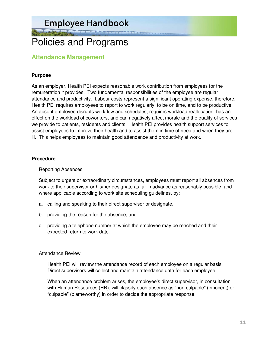WAS MARINA CONTINUES

# Policies and Programs

### **Attendance Management**

#### **Purpose**

As an employer, Health PEI expects reasonable work contribution from employees for the remuneration it provides. Two fundamental responsibilities of the employee are regular attendance and productivity. Labour costs represent a significant operating expense, therefore, Health PEI requires employees to report to work regularly, to be on time, and to be productive. An absent employee disrupts workflow and schedules, requires workload reallocation, has an effect on the workload of coworkers, and can negatively affect morale and the quality of services we provide to patients, residents and clients. Health PEI provides health support services to assist employees to improve their health and to assist them in time of need and when they are ill. This helps employees to maintain good attendance and productivity at work.

#### **Procedure**

#### Reporting Absences

 Subject to urgent or extraordinary circumstances, employees must report all absences from work to their supervisor or his/her designate as far in advance as reasonably possible, and where applicable according to work site scheduling guidelines, by:

- a. calling and speaking to their direct supervisor or designate,
- b. providing the reason for the absence, and
- c. providing a telephone number at which the employee may be reached and their expected return to work date.

#### **Attendance Review**

 Health PEI will review the attendance record of each employee on a regular basis. Direct supervisors will collect and maintain attendance data for each employee.

 When an attendance problem arises, the employee's direct supervisor, in consultation with Human Resources (HR), will classify each absence as "non-culpable" (innocent) or "culpable" (blameworthy) in order to decide the appropriate response.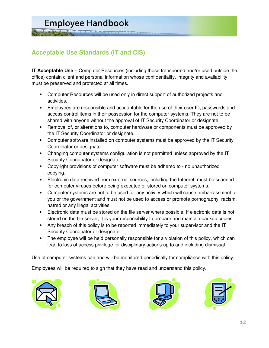# **Acceptable Use Standards (IT and CIS)**

**IT Acceptable Use** – Computer Resources (including those transported and/or used outside the office) contain client and personal information whose confidentiality, integrity and availability must be preserved and protected at all times.

**MAAAAAAAAA** 

- Computer Resources will be used only in direct support of authorized projects and activities.
- Employees are responsible and accountable for the use of their user ID, passwords and access control items in their possession for the computer systems. They are not to be shared with anyone without the approval of IT Security Coordinator or designate.
- Removal of, or alterations to, computer hardware or components must be approved by the IT Security Coordinator or designate.
- Computer software installed on computer systems must be approved by the IT Security Coordinator or designate.
- Changing computer systems configuration is not permitted unless approved by the IT Security Coordinator or designate.
- Copyright provisions of computer software must be adhered to no unauthorized copying.
- Electronic data received from external sources, including the Internet, must be scanned for computer viruses before being executed or stored on computer systems.
- Computer systems are not to be used for any activity which will cause embarrassment to you or the government and must not be used to access or promote pornography, racism, hatred or any illegal activities.
- Electronic data must be stored on the file server where possible. If electronic data is not stored on the file server, it is your responsibility to prepare and maintain backup copies.
- Any breach of this policy is to be reported immediately to your supervisor and the IT Security Coordinator or designate.
- The employee will be held personally responsible for a violation of this policy, which can lead to loss of access privilege, or disciplinary actions up to and including dismissal.

Use of computer systems can and will be monitored periodically for compliance with this policy.

Employees will be required to sign that they have read and understand this policy.







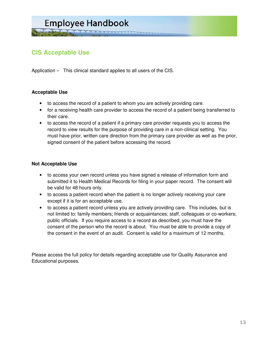

# **CIS Acceptable Use**

Application – This clinical standard applies to all users of the CIS.

#### **Acceptable Use**

- to access the record of a patient to whom you are actively providing care.
- for a receiving health care provider to access the record of a patient being transferred to their care.
- to access the record of a patient if a primary care provider requests you to access the record to view results for the purpose of providing care in a non-clinical setting. You must have prior, written care direction from the primary care provider as well as the prior, signed consent of the patient before accessing the record.

#### **Not Acceptable Use**

- to access your own record unless you have signed a release of information form and submitted it to Health Medical Records for filing in your paper record. The consent will be valid for 48 hours only.
- to access a patient record when the patient is no longer actively receiving your care except if it is for an acceptable use.
- to access a patient record unless you are actively providing care. This includes, but is not limited to: family members; friends or acquaintances; staff, colleagues or co-workers; public officials. If you require access to a record as described, you must have the consent of the person who the record is about. You must be able to provide a copy of the consent in the event of an audit. Consent is valid for a maximum of 12 months.

Please access the full policy for details regarding acceptable use for Quality Assurance and Educational purposes.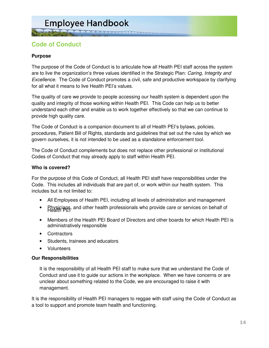### **Code of Conduct**

#### **Purpose**

The purpose of the Code of Conduct is to articulate how all Health PEI staff across the system are to live the organization's three values identified in the Strategic Plan: Caring, Integrity and Excellence. The Code of Conduct promotes a civil, safe and productive workspace by clarifying for all what it means to live Health PEI's values.

The quality of care we provide to people accessing our health system is dependent upon the quality and integrity of those working within Health PEI. This Code can help us to better understand each other and enable us to work together effectively so that we can continue to provide high quality care.

The Code of Conduct is a companion document to all of Health PEI's bylaws, policies, procedures, Patient Bill of Rights, standards and guidelines that set out the rules by which we govern ourselves, it is not intended to be used as a standalone enforcement tool.

The Code of Conduct complements but does not replace other professional or institutional Codes of Conduct that may already apply to staff within Health PEI.

#### **Who is covered?**

For the purpose of this Code of Conduct, all Health PEI staff have responsibilities under the Code. This includes all individuals that are part of, or work within our health system. This includes but is not limited to:

- All Employees of Health PEI, including all levels of administration and management
- Physicians, and other health professionals who provide care or services on behalf of
- Members of the Health PEI Board of Directors and other boards for which Health PEI is administratively responsible
- Contractors
- Students, trainees and educators
- Volunteers

#### **Our Responsibilities**

It is the responsibility of all Health PEI staff to make sure that we understand the Code of Conduct and use it to guide our actions in the workplace. When we have concerns or are unclear about something related to the Code, we are encouraged to raise it with management.

It is the responsibility of Health PEI managers to reggae with staff using the Code of Conduct as a tool to support and promote team health and functioning.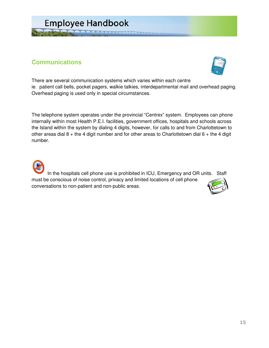

A GAARAAAAAAAAAA

### **Communications**



There are several communication systems which varies within each centre ie. patient call bells, pocket pagers, walkie talkies, interdepartmental mail and overhead paging. Overhead paging is used only in special circumstances.

The telephone system operates under the provincial "Centrex" system. Employees can phone internally within most Health P.E.I. facilities, government offices, hospitals and schools across the Island within the system by dialing 4 digits, however, for calls to and from Charlottetown to other areas dial  $8 +$  the 4 digit number and for other areas to Charlottetown dial  $6 +$  the 4 digit number.

In the hospitals cell phone use is prohibited in ICU, Emergency and OR units. Staff must be conscious of noise control, privacy and limited locations of cell phone conversations to non-patient and non-public areas.

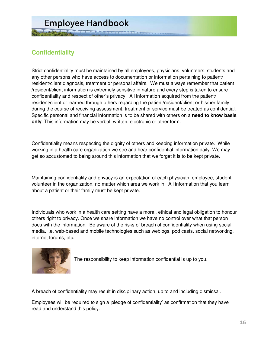# **Confidentiality**

Strict confidentiality must be maintained by all employees, physicians, volunteers, students and any other persons who have access to documentation or information pertaining to patient/ resident/client diagnosis, treatment or personal affairs. We must always remember that patient /resident/client information is extremely sensitive in nature and every step is taken to ensure confidentiality and respect of other's privacy. All information acquired from the patient/ resident/client or learned through others regarding the patient/resident/client or his/her family during the course of receiving assessment, treatment or service must be treated as confidential. Specific personal and financial information is to be shared with others on a **need to know basis only**. This information may be verbal, written, electronic or other form.

Confidentiality means respecting the dignity of others and keeping information private. While working in a health care organization we see and hear confidential information daily. We may get so accustomed to being around this information that we forget it is to be kept private.

Maintaining confidentiality and privacy is an expectation of each physician, employee, student, volunteer in the organization, no matter which area we work in. All information that you learn about a patient or their family must be kept private.

Individuals who work in a health care setting have a moral, ethical and legal obligation to honour others right to privacy. Once we share information we have no control over what that person does with the information. Be aware of the risks of breach of confidentiality when using social media, i.e. web-based and mobile technologies such as weblogs, pod casts, social networking, internet forums, etc.



The responsibility to keep information confidential is up to you.

A breach of confidentiality may result in disciplinary action, up to and including dismissal.

Employees will be required to sign a 'pledge of confidentiality' as confirmation that they have read and understand this policy.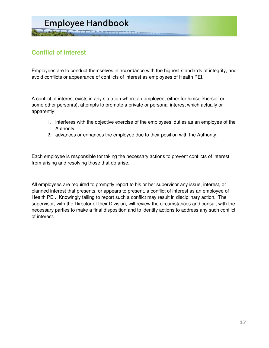# **Employee Handbook LA A A A A A A A A A A A A A**

# **Conflict of Interest**

Employees are to conduct themselves in accordance with the highest standards of integrity, and avoid conflicts or appearance of conflicts of interest as employees of Health PEI.

A conflict of interest exists in any situation where an employee, either for himself/herself or some other person(s), attempts to promote a private or personal interest which actually or apparently:

- 1. interferes with the objective exercise of the employees' duties as an employee of the Authority.
- 2. advances or enhances the employee due to their position with the Authority.

Each employee is responsible for taking the necessary actions to prevent conflicts of interest from arising and resolving those that do arise.

All employees are required to promptly report to his or her supervisor any issue, interest, or planned interest that presents, or appears to present, a conflict of interest as an employee of Health PEI. Knowingly failing to report such a conflict may result in disciplinary action. The supervisor, with the Director of their Division, will review the circumstances and consult with the necessary parties to make a final disposition and to identify actions to address any such conflict of interest.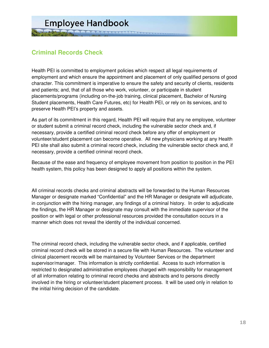# **Criminal Records Check**

Health PEI is committed to employment policies which respect all legal requirements of employment and which ensure the appointment and placement of only qualified persons of good character. This commitment is imperative to ensure the safety and security of clients, residents and patients; and, that of all those who work, volunteer, or participate in student placements/programs (including on-the-job training, clinical placement, Bachelor of Nursing Student placements, Health Care Futures, etc) for Health PEI, or rely on its services, and to preserve Health PEI's property and assets.

As part of its commitment in this regard, Health PEI will require that any ne employee, volunteer or student submit a criminal record check, including the vulnerable sector check and, if necessary, provide a certified criminal record check before any offer of employment or volunteer/student placement can become operative. All new physicians working at any Health PEI site shall also submit a criminal record check, including the vulnerable sector check and, if necessary, provide a certified criminal record check.

Because of the ease and frequency of employee movement from position to position in the PEI health system, this policy has been designed to apply all positions within the system.

All criminal records checks and criminal abstracts will be forwarded to the Human Resources Manager or designate marked "Confidential" and the HR Manager or designate will adjudicate, in conjunction with the hiring manager, any findings of a criminal history. In order to adjudicate the findings, the HR Manager or designate may consult with the immediate supervisor of the position or with legal or other professional resources provided the consultation occurs in a manner which does not reveal the identity of the individual concerned.

The criminal record check, including the vulnerable sector check, and if applicable, certified criminal record check will be stored in a secure file with Human Resources. The volunteer and clinical placement records will be maintained by Volunteer Services or the department supervisor/manager. This information is strictly confidential. Access to such information is restricted to designated administrative employees charged with responsibility for management of all information relating to criminal record checks and abstracts and to persons directly involved in the hiring or volunteer/student placement process. It will be used only in relation to the initial hiring decision of the candidate.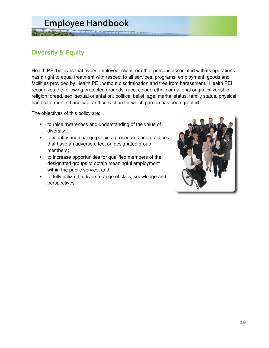

# **Diversity & Equity**

Health PEI believes that every employee, client, or other persons associated with its operations has a right to equal treatment with respect to all services, programs, employment, goods and facilities provided by Health PEI, without discrimination and free from harassment. Health PEI recognizes the following protected grounds: race, colour, ethnic or national origin, citizenship, religion, creed, sex, sexual orientation, political belief, age, marital status, family status, physical handicap, mental handicap, and conviction for which pardon has been granted.

The objectives of this policy are:

- to raise awareness and understanding of the value of diversity;
- to identify and change policies, procedures and practices that have an adverse effect on designated group members;
- to increase opportunities for qualified members of the designated groups to obtain meaningful employment within the public service; and
- to fully utilize the diverse range of skills, knowledge and perspectives.

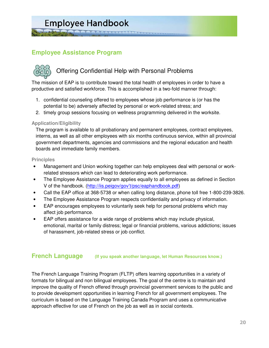**THE BEARASSERRE** 

**Employee Assistance Program** 

# Offering Confidential Help with Personal Problems

The mission of EAP is to contribute toward the total health of employees in order to have a productive and satisfied workforce. This is accomplished in a two-fold manner through:

- 1. confidential counseling offered to employees whose job performance is (or has the potential to be) adversely affected by personal or work-related stress; and
- 2. timely group sessions focusing on wellness programming delivered in the worksite.

#### **Application/Eligibility**

The program is available to all probationary and permanent employees, contract employees, interns, as well as all other employees with six months continuous service, within all provincial government departments, agencies and commissions and the regional education and health boards and immediate family members.

#### **Principles**

- Management and Union working together can help employees deal with personal or workrelated stressors which can lead to deteriorating work performance.
- The Employee Assistance Program applies equally to all employees as defined in Section V of the handbook. (http://iis.peigov/gov't/psc/eaphandbook.pdf)
- Call the EAP office at 368-5738 or when calling long distance, phone toll free 1-800-239-3826.
- The Employee Assistance Program respects confidentiality and privacy of information.
- EAP encourages employees to voluntarily seek help for personal problems which may affect job performance.
- EAP offers assistance for a wide range of problems which may include physical, emotional, marital or family distress; legal or financial problems, various addictions; issues of harassment, job-related stress or job conflict.

#### **French Language (If you speak another language, let Human Resources know.)**

The French Language Training Program (FLTP) offers learning opportunities in a variety of formats for bilingual and non bilingual employees. The goal of the centre is to maintain and improve the quality of French offered through provincial government services to the public and to provide development opportunities in learning French for all government employees. The curriculum is based on the Language Training Canada Program and uses a communicative approach effective for use of French on the job as well as in social contexts.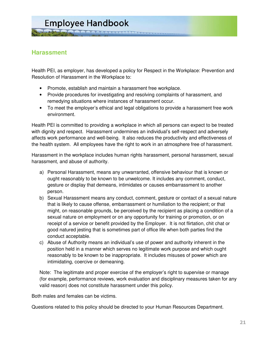### **Harassment**

Health PEI, as employer, has developed a policy for Respect in the Workplace: Prevention and Resolution of Harassment in the Workplace to:

- Promote, establish and maintain a harassment free workplace.
- Provide procedures for investigating and resolving complaints of harassment, and remedying situations where instances of harassment occur.
- To meet the employer's ethical and legal obligations to provide a harassment free work environment.

Health PEI is committed to providing a workplace in which all persons can expect to be treated with dignity and respect. Harassment undermines an individual's self-respect and adversely affects work performance and well-being. It also reduces the productivity and effectiveness of the health system. All employees have the right to work in an atmosphere free of harassment.

Harassment in the workplace includes human rights harassment, personal harassment, sexual harassment, and abuse of authority.

- a) Personal Harassment, means any unwarranted, offensive behaviour that is known or ought reasonably to be known to be unwelcome. It includes any comment, conduct, gesture or display that demeans, intimidates or causes embarrassment to another person.
- b) Sexual Harassment means any conduct, comment, gesture or contact of a sexual nature that is likely to cause offense, embarrassment or humiliation to the recipient; or that might, on reasonable grounds, be perceived by the recipient as placing a condition of a sexual nature on employment or on any opportunity for training or promotion, or on receipt of a service or benefit provided by the Employer. It is not flirtation, chit chat or good natured jesting that is sometimes part of office life when both parties find the conduct acceptable.
- c) Abuse of Authority means an individual's use of power and authority inherent in the position held in a manner which serves no legitimate work purpose and which ought reasonably to be known to be inappropriate. It includes misuses of power which are intimidating, coercive or demeaning.

Note: The legitimate and proper exercise of the employer's right to supervise or manage (for example, performance reviews, work evaluation and disciplinary measures taken for any valid reason) does not constitute harassment under this policy.

Both males and females can be victims.

Questions related to this policy should be directed to your Human Resources Department.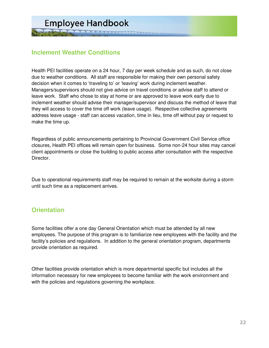### **Inclement Weather Conditions**

Health PEI facilities operate on a 24 hour, 7 day per week schedule and as such, do not close due to weather conditions. All staff are responsible for making their own personal safety decision when it comes to 'traveling to' or 'leaving' work during inclement weather. Managers/supervisors should not give advice on travel conditions or advise staff to attend or leave work. Staff who chose to stay at home or are approved to leave work early due to inclement weather should advise their manager/supervisor and discuss the method of leave that they will access to cover the time off work (leave usage). Respective collective agreements address leave usage - staff can access vacation, time in lieu, time off without pay or request to make the time up.

Regardless of public announcements pertaining to Provincial Government Civil Service office closures, Health PEI offices will remain open for business. Some non-24 hour sites may cancel client appointments or close the building to public access after consultation with the respective Director.

Due to operational requirements staff may be required to remain at the worksite during a storm until such time as a replacement arrives.

### **Orientation**

Some facilities offer a one day General Orientation which must be attended by all new employees. The purpose of this program is to familiarize new employees with the facility and the facility's policies and regulations. In addition to the general orientation program, departments provide orientation as required.

Other facilities provide orientation which is more departmental specific but includes all the information necessary for new employees to become familiar with the work environment and with the policies and regulations governing the workplace.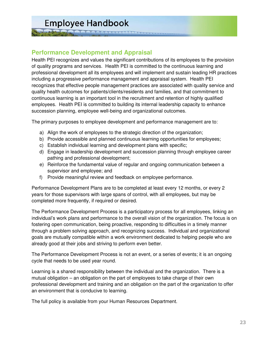**THE REAGAAAAAAAAAA** 

### **Performance Development and Appraisal**

Health PEI recognizes and values the significant contributions of its employees to the provision of quality programs and services. Health PEI is committed to the continuous learning and professional development all its employees and will implement and sustain leading HR practices including a progressive performance management and appraisal system. Health PEI recognizes that effective people management practices are associated with quality service and quality health outcomes for patients/clients/residents and families, and that commitment to continuous learning is an important tool in the recruitment and retention of highly qualified employees. Health PEI is committed to building its internal leadership capacity to enhance succession planning, employee well-being and organizational outcomes.

The primary purposes to employee development and performance management are to:

- a) Align the work of employees to the strategic direction of the organization;
- b) Provide accessible and planned continuous learning opportunities for employees;
- c) Establish individual learning and development plans with specific;
- d) Engage in leadership development and succession planning through employee career pathing and professional development;
- e) Reinforce the fundamental value of regular and ongoing communication between a supervisor and employee; and
- f) Provide meaningful review and feedback on employee performance.

Performance Development Plans are to be completed at least every 12 months, or every 2 years for those supervisors with large spans of control, with all employees, but may be completed more frequently, if required or desired.

The Performance Development Process is a participatory process for all employees, linking an individual's work plans and performance to the overall vision of the organization. The focus is on fostering open communication, being proactive, responding to difficulties in a timely manner through a problem solving approach, and recognizing success. Individual and organizational goals are mutually compatible within a work environment dedicated to helping people who are already good at their jobs and striving to perform even better.

The Performance Development Process is not an event, or a series of events; it is an ongoing cycle that needs to be used year round.

Learning is a shared responsibility between the individual and the organization. There is a mutual obligation – an obligation on the part of employees to take charge of their own professional development and training and an obligation on the part of the organization to offer an environment that is conducive to learning.

The full policy is available from your Human Resources Department.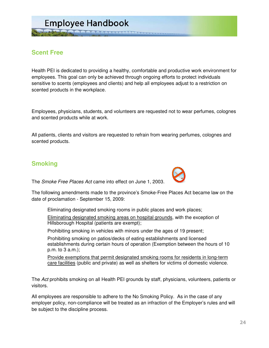# **Scent Free**

Health PEI is dedicated to providing a healthy, comfortable and productive work environment for employees. This goal can only be achieved through ongoing efforts to protect individuals sensitive to scents (employees and clients) and help all employees adjust to a restriction on scented products in the workplace.

Employees, physicians, students, and volunteers are requested not to wear perfumes, colognes and scented products while at work.

All patients, clients and visitors are requested to refrain from wearing perfumes, colognes and scented products.

### **Smoking**

The Smoke Free Places Act came into effect on June 1, 2003.



The following amendments made to the province's Smoke-Free Places Act became law on the date of proclamation - September 15, 2009:

Eliminating designated smoking rooms in public places and work places;

 Eliminating designated smoking areas on hospital grounds, with the exception of Hillsborough Hospital (patients are exempt);

Prohibiting smoking in vehicles with minors under the ages of 19 present;

 Prohibiting smoking on patios/decks of eating establishments and licensed establishments during certain hours of operation (Exemption between the hours of 10 p.m. to 3 a.m.);

 Provide exemptions that permit designated smoking rooms for residents in long-term care facilities (public and private) as well as shelters for victims of domestic violence.

The Act prohibits smoking on all Health PEI grounds by staff, physicians, volunteers, patients or visitors.

All employees are responsible to adhere to the No Smoking Policy. As in the case of any employer policy, non-compliance will be treated as an infraction of the Employer's rules and will be subject to the discipline process.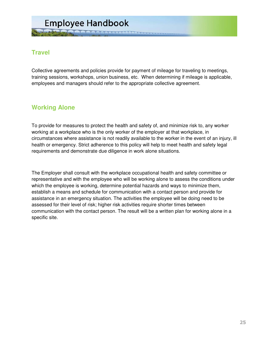# **Travel**

Collective agreements and policies provide for payment of mileage for traveling to meetings, training sessions, workshops, union business, etc. When determining if mileage is applicable, employees and managers should refer to the appropriate collective agreement.

### **Working Alone**

To provide for measures to protect the health and safety of, and minimize risk to, any worker working at a workplace who is the only worker of the employer at that workplace, in circumstances where assistance is not readily available to the worker in the event of an injury, ill health or emergency. Strict adherence to this policy will help to meet health and safety legal requirements and demonstrate due diligence in work alone situations.

The Employer shall consult with the workplace occupational health and safety committee or representative and with the employee who will be working alone to assess the conditions under which the employee is working, determine potential hazards and ways to minimize them, establish a means and schedule for communication with a contact person and provide for assistance in an emergency situation. The activities the employee will be doing need to be assessed for their level of risk; higher risk activities require shorter times between communication with the contact person. The result will be a written plan for working alone in a specific site.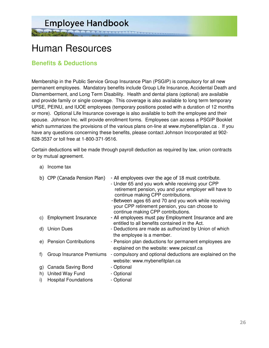Human Resources

### **Benefits & Deductions**

Membership in the Public Service Group Insurance Plan (PSGIP) is compulsory for all new permanent employees. Mandatory benefits include Group Life Insurance, Accidental Death and Dismemberment, and Long Term Disability. Health and dental plans (optional) are available and provide family or single coverage. This coverage is also available to long term temporary UPSE, PEINU, and IUOE employees (temporary positions posted with a duration of 12 months or more). Optional Life Insurance coverage is also available to both the employee and their spouse. Johnson Inc. will provide enrollment forms. Employees can access a PSGIP Booklet which summarizes the provisions of the various plans on-line at www.mybenefitplan.ca. If you have any questions concerning these benefits, please contact Johnson Incorporated at 902- 628-3537 or toll free at 1-800-371-9516.

ARAACAAARA

Certain deductions will be made through payroll deduction as required by law, union contracts or by mutual agreement.

a) Income tax b) CPP (Canada Pension Plan) - All employees over the age of 18 must contribute. - Under 65 and you work while receiving your CPP retirement pension, you and your employer will have to continue making CPP contributions. -Between ages 65 and 70 and you work while receiving your CPP retirement pension, you can choose to continue making CPP contributions. c) Employment Insurance - All employees must pay Employment Insurance and are entitled to all benefits contained in the Act. d) Union Dues - Deductions are made as authorized by Union of which the employee is a member. e) Pension Contributions - Pension plan deductions for permanent employees are explained on the website: www.peicssf.ca f) Group Insurance Premiums - compulsory and optional deductions are explained on the website: www.mybenefitplan.ca g) Canada Saving Bond - Optional h) United Way Fund - Optional i) Hospital Foundations - Optional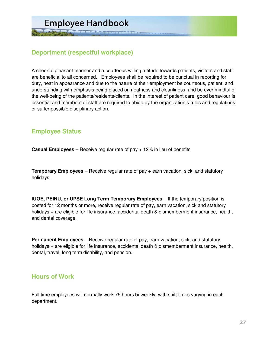# **Deportment (respectful workplace)**

A cheerful pleasant manner and a courteous willing attitude towards patients, visitors and staff are beneficial to all concerned. Employees shall be required to be punctual in reporting for duty, neat in appearance and due to the nature of their employment be courteous, patient, and understanding with emphasis being placed on neatness and cleanliness, and be ever mindful of the well-being of the patients/residents/clients. In the interest of patient care, good behaviour is essential and members of staff are required to abide by the organization's rules and regulations or suffer possible disciplinary action.

# **Employee Status**

**Casual Employees** – Receive regular rate of pay + 12% in lieu of benefits

**Temporary Employees** – Receive regular rate of pay + earn vacation, sick, and statutory holidays.

**IUOE, PEINU, or UPSE Long Term Temporary Employees** – If the temporary position is posted for 12 months or more, receive regular rate of pay, earn vacation, sick and statutory holidays + are eligible for life insurance, accidental death & dismemberment insurance, health, and dental coverage.

**Permanent Employees** – Receive regular rate of pay, earn vacation, sick, and statutory holidays + are eligible for life insurance, accidental death & dismemberment insurance, health, dental, travel, long term disability, and pension.

### **Hours of Work**

Full time employees will normally work 75 hours bi-weekly, with shift times varying in each department.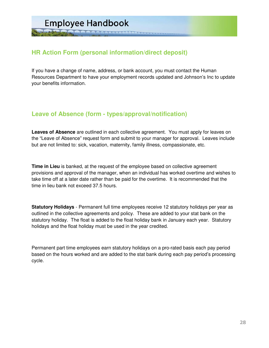**THE COORDAARASSES** 

# **HR Action Form (personal information/direct deposit)**

If you have a change of name, address, or bank account, you must contact the Human Resources Department to have your employment records updated and Johnson's Inc to update your benefits information.

### **Leave of Absence (form - types/approval/notification)**

**Leaves of Absence** are outlined in each collective agreement. You must apply for leaves on the "Leave of Absence" request form and submit to your manager for approval. Leaves include but are not limited to: sick, vacation, maternity, family illness, compassionate, etc.

**Time in Lieu** is banked, at the request of the employee based on collective agreement provisions and approval of the manager, when an individual has worked overtime and wishes to take time off at a later date rather than be paid for the overtime. It is recommended that the time in lieu bank not exceed 37.5 hours.

**Statutory Holidays** - Permanent full time employees receive 12 statutory holidays per year as outlined in the collective agreements and policy. These are added to your stat bank on the statutory holiday. The float is added to the float holiday bank in January each year. Statutory holidays and the float holiday must be used in the year credited.

Permanent part time employees earn statutory holidays on a pro-rated basis each pay period based on the hours worked and are added to the stat bank during each pay period's processing cycle.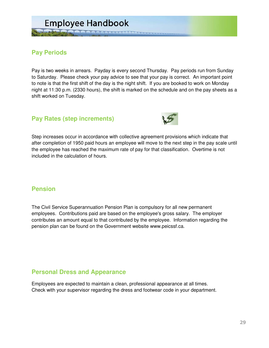

### **Pay Periods**

Pay is two weeks in arrears. Payday is every second Thursday. Pay periods run from Sunday to Saturday. Please check your pay advice to see that your pay is correct. An important point to note is that the first shift of the day is the night shift. If you are booked to work on Monday night at 11:30 p.m. (2330 hours), the shift is marked on the schedule and on the pay sheets as a shift worked on Tuesday.

### **Pay Rates (step increments)**



Step increases occur in accordance with collective agreement provisions which indicate that after completion of 1950 paid hours an employee will move to the next step in the pay scale until the employee has reached the maximum rate of pay for that classification. Overtime is not included in the calculation of hours.

### **Pension**

The Civil Service Superannuation Pension Plan is compulsory for all new permanent employees. Contributions paid are based on the employee's gross salary. The employer contributes an amount equal to that contributed by the employee. Information regarding the pension plan can be found on the Government website www.peicssf.ca.

### **Personal Dress and Appearance**

Employees are expected to maintain a clean, professional appearance at all times. Check with your supervisor regarding the dress and footwear code in your department.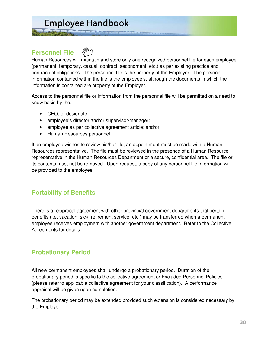**A A A A A A A A A A A A A A** A

### **Personnel File**



Human Resources will maintain and store only one recognized personnel file for each employee (permanent, temporary, casual, contract, secondment, etc.) as per existing practice and contractual obligations. The personnel file is the property of the Employer. The personal information contained within the file is the employee's, although the documents in which the information is contained are property of the Employer.

Access to the personnel file or information from the personnel file will be permitted on a need to know basis by the:

- CEO, or designate;
- employee's director and/or supervisor/manager;
- employee as per collective agreement article; and/or
- Human Resources personnel.

If an employee wishes to review his/her file, an appointment must be made with a Human Resources representative. The file must be reviewed in the presence of a Human Resource representative in the Human Resources Department or a secure, confidential area. The file or its contents must not be removed. Upon request, a copy of any personnel file information will be provided to the employee.

### **Portability of Benefits**

There is a reciprocal agreement with other provincial government departments that certain benefits (i.e. vacation, sick, retirement service, etc.) may be transferred when a permanent employee receives employment with another government department. Refer to the Collective Agreements for details.

### **Probationary Period**

All new permanent employees shall undergo a probationary period. Duration of the probationary period is specific to the collective agreement or Excluded Personnel Policies (please refer to applicable collective agreement for your classification). A performance appraisal will be given upon completion.

The probationary period may be extended provided such extension is considered necessary by the Employer.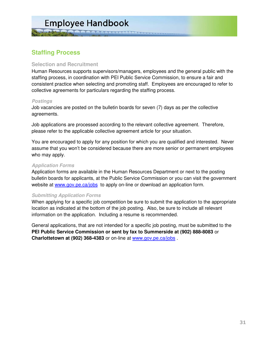A A A A A A A A A A A A A A A

# **Staffing Process**

#### **Selection and Recruitment**

Human Resources supports supervisors/managers, employees and the general public with the staffing process, in coordination with PEI Public Service Commission, to ensure a fair and consistent practice when selecting and promoting staff. Employees are encouraged to refer to collective agreements for particulars regarding the staffing process.

#### **Postings**

Job vacancies are posted on the bulletin boards for seven (7) days as per the collective agreements.

Job applications are processed according to the relevant collective agreement. Therefore, please refer to the applicable collective agreement article for your situation.

You are encouraged to apply for any position for which you are qualified and interested. Never assume that you won't be considered because there are more senior or permanent employees who may apply.

#### **Application Forms**

Application forms are available in the Human Resources Department or next to the posting bulletin boards for applicants, at the Public Service Commission or you can visit the government website at www.gov.pe.ca/jobs to apply on-line or download an application form.

#### **Submitting Application Forms**

When applying for a specific job competition be sure to submit the application to the appropriate location as indicated at the bottom of the job posting. Also, be sure to include all relevant information on the application. Including a resume is recommended.

General applications, that are not intended for a specific job posting, must be submitted to the **PEI Public Service Commission or sent by fax to Summerside at (902) 888-8083** or **Charlottetown at (902) 368-4383** or on-line at www.gov.pe.ca/jobs .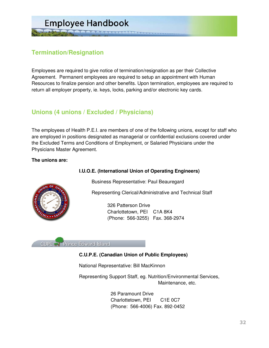

# **Termination/Resignation**

Employees are required to give notice of termination/resignation as per their Collective Agreement. Permanent employees are required to setup an appointment with Human Resources to finalize pension and other benefits. Upon termination, employees are required to return all employer property, ie. keys, locks, parking and/or electronic key cards.

# **Unions (4 unions / Excluded / Physicians)**

The employees of Health P.E.I. are members of one of the following unions, except for staff who are employed in positions designated as managerial or confidential exclusions covered under the Excluded Terms and Conditions of Employment, or Salaried Physicians under the Physicians Master Agreement.

#### **The unions are:**

#### **I.U.O.E. (International Union of Operating Engineers)**



Representing Clerical/Administrative and Technical Staff

 326 Patterson Drive Charlottetown, PEI C1A 8K4 (Phone: 566-3255) Fax. 368-2974

**CUPE Prince Edward Island** 

#### **C.U.P.E. (Canadian Union of Public Employees)**

National Representative: Bill MacKinnon

Representing Support Staff, eg. Nutrition/Environmental Services, Maintenance, etc.

> 26 Paramount Drive Charlottetown, PEI C1E 0C7 (Phone: 566-4006) Fax. 892-0452

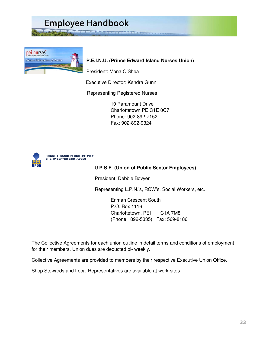pei nurses<sup>\*</sup> Nurses Taking Care of Nurse

#### **P.E.I.N.U. (Prince Edward Island Nurses Union)**

President: Mona O'Shea

Executive Director: Kendra Gunn

**MAAAAAAA** 

Representing Registered Nurses

 10 Paramount Drive Charlottetown PE C1E 0C7 Phone: 902-892-7152 Fax: 902-892-9324



PRINCE EDWARD ISLAND UNION OF PUBLIC SECTOR EMPLOYEES

#### **U.P.S.E. (Union of Public Sector Employees)**

President: Debbie Bovyer

Representing L.P.N.'s, RCW's, Social Workers, etc.

 Enman Crescent South P.O. Box 1116 Charlottetown, PEI C1A 7M8 (Phone: 892-5335) Fax: 569-8186

The Collective Agreements for each union outline in detail terms and conditions of employment for their members. Union dues are deducted bi- weekly.

Collective Agreements are provided to members by their respective Executive Union Office.

Shop Stewards and Local Representatives are available at work sites.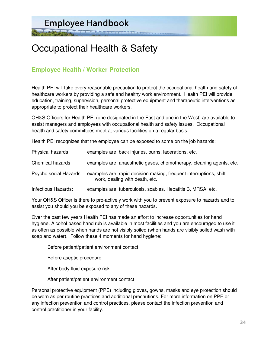# Occupational Health & Safety

**ARRAACARR** 

### **Employee Health / Worker Protection**

Health PEI will take every reasonable precaution to protect the occupational health and safety of healthcare workers by providing a safe and healthy work environment. Health PEI will provide education, training, supervision, personal protective equipment and therapeutic interventions as appropriate to protect their healthcare workers.

OH&S Officers for Health PEI (one designated in the East and one in the West) are available to assist managers and employees with occupational health and safety issues. Occupational health and safety committees meet at various facilities on a regular basis.

Health PEI recognizes that the employee can be exposed to some on the job hazards:

| Physical hazards      | examples are: back injuries, burns, lacerations, etc.                                                |
|-----------------------|------------------------------------------------------------------------------------------------------|
| Chemical hazards      | examples are: anaesthetic gases, chemotherapy, cleaning agents, etc.                                 |
| Psycho social Hazards | examples are: rapid decision making, frequent interruptions, shift<br>work, dealing with death, etc. |
| Infectious Hazards:   | examples are: tuberculosis, scabies, Hepatitis B, MRSA, etc.                                         |

Your OH&S Officer is there to pro-actively work with you to prevent exposure to hazards and to assist you should you be exposed to any of these hazards.

Over the past few years Health PEI has made an effort to increase opportunities for hand hygiene. Alcohol based hand rub is available in most facilities and you are encouraged to use it as often as possible when hands are not visibly soiled (when hands are visibly soiled wash with soap and water). Follow these 4 moments for hand hygiene:

Before patient/patient environment contact

Before aseptic procedure

After body fluid exposure risk

After patient/patient environment contact

Personal protective equipment (PPE) including gloves, gowns, masks and eye protection should be worn as per routine practices and additional precautions. For more information on PPE or any infection prevention and control practices, please contact the infection prevention and control practitioner in your facility.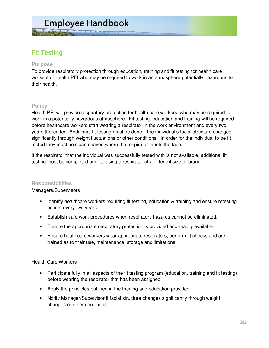**LA A A A A A A A A A A A A A A** A

# **Fit Testing**

#### **Purpose**

To provide respiratory protection through education, training and fit testing for health care workers of Health PEI who may be required to work in an atmosphere potentially hazardous to their health.

#### **Policy**

Health PEI will provide respiratory protection for health care workers, who may be required to work in a potentially hazardous atmosphere. Fit testing, education and training will be required before healthcare workers start wearing a respirator in the work environment and every two years thereafter. Additional fit testing must be done if the individual's facial structure changes significantly through weight fluctuations or other conditions. In order for the individual to be fit tested they must be clean shaven where the respirator meets the face.

If the respirator that the individual was successfully tested with is not available, additional fit testing must be completed prior to using a respirator of a different size or brand.

#### **Responsibilities**

#### Managers/Supervisors

- Identify healthcare workers requiring fit testing, education & training and ensure retesting occurs every two years.
- Establish safe work procedures when respiratory hazards cannot be eliminated.
- Ensure the appropriate respiratory protection is provided and readily available.
- Ensure healthcare workers wear appropriate respirators, perform fit checks and are trained as to their use, maintenance, storage and limitations.

#### Health Care Workers

- Participate fully in all aspects of the fit testing program (education, training and fit testing) before wearing the respirator that has been assigned.
- Apply the principles outlined in the training and education provided.
- Notify Manager/Supervisor if facial structure changes significantly through weight changes or other conditions.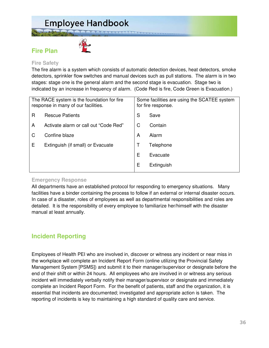**Fire Plan** 



#### **Fire Safety**

The fire alarm is a system which consists of automatic detection devices, heat detectors, smoke detectors, sprinkler flow switches and manual devices such as pull stations. The alarm is in two stages: stage one is the general alarm and the second stage is evacuation. Stage two is indicated by an increase in frequency of alarm. (Code Red is fire, Code Green is Evacuation.)

ARRACERARE

| The RACE system is the foundation for fire<br>response in many of our facilities. |                                       |   | Some facilities are using the SCATEE system<br>for fire response. |  |  |
|-----------------------------------------------------------------------------------|---------------------------------------|---|-------------------------------------------------------------------|--|--|
| R                                                                                 | <b>Rescue Patients</b>                | S | Save                                                              |  |  |
| A                                                                                 | Activate alarm or call out "Code Red" | C | Contain                                                           |  |  |
|                                                                                   | Confine blaze                         | A | Alarm                                                             |  |  |
| Е                                                                                 | Extinguish (if small) or Evacuate     |   | Telephone                                                         |  |  |
|                                                                                   |                                       | Е | Evacuate                                                          |  |  |
|                                                                                   |                                       | Е | Extinguish                                                        |  |  |
|                                                                                   |                                       |   |                                                                   |  |  |

#### **Emergency Response**

All departments have an established protocol for responding to emergency situations. Many facilities have a binder containing the process to follow if an external or internal disaster occurs. In case of a disaster, roles of employees as well as departmental responsibilities and roles are detailed. It is the responsibility of every employee to familiarize her/himself with the disaster manual at least annually.

### **Incident Reporting**

Employees of Health PEI who are involved in, discover or witness any incident or near miss in the workplace will complete an Incident Report Form (online utilizing the Provincial Safety Management System [PSMS]) and submit it to their manager/supervisor or designate before the end of their shift or within 24 hours. All employees who are involved in or witness any serious incident will immediately verbally notify their manager/supervisor or designate and immediately complete an Incident Report Form. For the benefit of patients, staff and the organization, it is essential that incidents are documented; investigated and appropriate action is taken. The reporting of incidents is key to maintaining a high standard of quality care and service.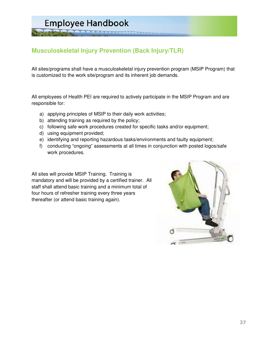ARRACEAR

# **Musculoskeletal Injury Prevention (Back Injury/TLR)**

All sites/programs shall have a musculoskeletal injury prevention program (MSIP Program) that is customized to the work site/program and its inherent job demands.

All employees of Health PEI are required to actively participate in the MSIP Program and are responsible for:

- a) applying principles of MSIP to their daily work activities;
- b) attending training as required by the policy;
- c) following safe work procedures created for specific tasks and/or equipment;
- d) using equipment provided;
- e) identifying and reporting hazardous tasks/environments and faulty equipment;
- f) conducting "ongoing" assessments at all times in conjunction with posted logos/safe work procedures.

All sites will provide MSIP Training. Training is mandatory and will be provided by a certified trainer. All staff shall attend basic training and a minimum total of four hours of refresher training every three years thereafter (or attend basic training again).

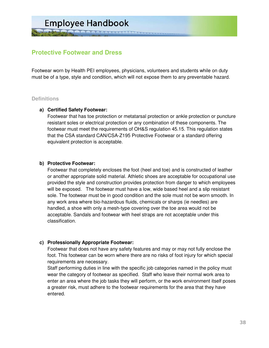# **Protective Footwear and Dress**

Footwear worn by Health PEI employees, physicians, volunteers and students while on duty must be of a type, style and condition, which will not expose them to any preventable hazard.

#### **Definitions**

#### **a) Certified Safety Footwear:**

Footwear that has toe protection or metatarsal protection or ankle protection or puncture resistant soles or electrical protection or any combination of these components. The footwear must meet the requirements of OH&S regulation 45.15. This regulation states that the CSA standard CAN/CSA-Z195 Protective Footwear or a standard offering equivalent protection is acceptable.

#### **b) Protective Footwear:**

Footwear that completely encloses the foot (heel and toe) and is constructed of leather or another appropriate solid material. Athletic shoes are acceptable for occupational use provided the style and construction provides protection from danger to which employees will be exposed. The footwear must have a low, wide based heel and a slip resistant sole. The footwear must be in good condition and the sole must not be worn smooth. In any work area where bio-hazardous fluids, chemicals or sharps (ie needles) are handled, a shoe with only a mesh-type covering over the toe area would not be acceptable. Sandals and footwear with heel straps are not acceptable under this classification.

#### **c) Professionally Appropriate Footwear:**

Footwear that does not have any safety features and may or may not fully enclose the foot. This footwear can be worn where there are no risks of foot injury for which special requirements are necessary.

Staff performing duties in line with the specific job categories named in the policy must wear the category of footwear as specified. Staff who leave their normal work area to enter an area where the job tasks they will perform, or the work environment itself poses a greater risk, must adhere to the footwear requirements for the area that they have entered.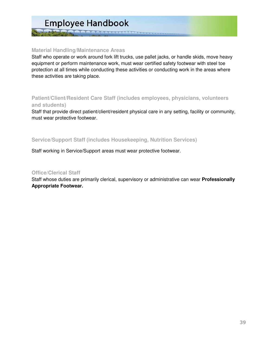A A A A A A A A A A A A A A A A

#### **Material Handling/Maintenance Areas**

Staff who operate or work around fork lift trucks, use pallet jacks, or handle skids, move heavy equipment or perform maintenance work, must wear certified safety footwear with steel toe protection at all times while conducting these activities or conducting work in the areas where these activities are taking place.

#### **Patient/Client/Resident Care Staff (includes employees, physicians, volunteers and students)**

Staff that provide direct patient/client/resident physical care in any setting, facility or community, must wear protective footwear.

#### **Service/Support Staff (includes Housekeeping, Nutrition Services)**

Staff working in Service/Support areas must wear protective footwear.

#### **Office/Clerical Staff**

Staff whose duties are primarily clerical, supervisory or administrative can wear **Professionally Appropriate Footwear.**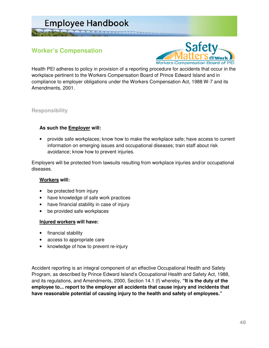**Worker's Compensation** 



Health PEI adheres to policy in provision of a reporting procedure for accidents that occur in the workplace pertinent to the Workers Compensation Board of Prince Edward Island and in compliance to employer obligations under the Workers Compensation Act, 1988 W-7 and its Amendments, 2001.

#### **Responsibility**

#### **As such the Employer will:**

• provide safe workplaces; know how to make the workplace safe; have access to current information on emerging issues and occupational diseases; train staff about risk avoidance; know how to prevent injuries.

Employers will be protected from lawsuits resulting from workplace injuries and/or occupational diseases.

#### **Workers will:**

- be protected from injury
- have knowledge of safe work practices
- have financial stability in case of injury
- be provided safe workplaces

#### **Injured workers will have:**

- financial stability
- access to appropriate care
- knowledge of how to prevent re-injury

Accident reporting is an integral component of an effective Occupational Health and Safety Program, as described by Prince Edward Island's Occupational Health and Safety Act, 1988, and its regulations, and Amendments, 2000, Section 14.1 (f) whereby, **"It is the duty of the employee to... report to the employer all accidents that cause injury and incidents that have reasonable potential of causing injury to the health and safety of employees."**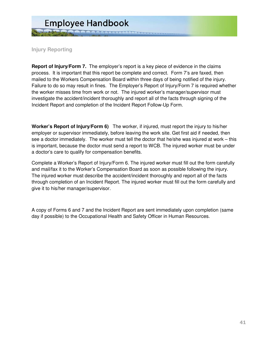

**Injury Reporting**

**Report of Injury/Form 7.** The employer's report is a key piece of evidence in the claims process. It is important that this report be complete and correct. Form 7's are faxed, then mailed to the Workers Compensation Board within three days of being notified of the injury. Failure to do so may result in fines. The Employer's Report of Injury/Form 7 is required whether the worker misses time from work or not. The injured worker's manager/supervisor must investigate the accident/incident thoroughly and report all of the facts through signing of the Incident Report and completion of the Incident Report Follow-Up Form.

**Worker's Report of Injury/Form 6)** The worker, if injured, must report the injury to his/her employer or supervisor immediately, before leaving the work site. Get first aid if needed, then see a doctor immediately. The worker must tell the doctor that he/she was injured at work – this is important, because the doctor must send a report to WCB. The injured worker must be under a doctor's care to qualify for compensation benefits.

Complete a Worker's Report of Injury/Form 6. The injured worker must fill out the form carefully and mail/fax it to the Worker's Compensation Board as soon as possible following the injury. The injured worker must describe the accident/incident thoroughly and report all of the facts through completion of an Incident Report. The injured worker must fill out the form carefully and give it to his/her manager/supervisor.

A copy of Forms 6 and 7 and the Incident Report are sent immediately upon completion (same day if possible) to the Occupational Health and Safety Officer in Human Resources.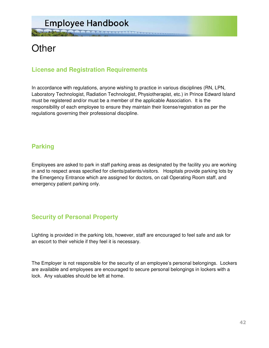# **Other**

# **License and Registration Requirements**

In accordance with regulations, anyone wishing to practice in various disciplines (RN, LPN, Laboratory Technologist, Radiation Technologist, Physiotherapist, etc.) in Prince Edward Island must be registered and/or must be a member of the applicable Association. It is the responsibility of each employee to ensure they maintain their license/registration as per the regulations governing their professional discipline.

# **Parking**

Employees are asked to park in staff parking areas as designated by the facility you are working in and to respect areas specified for clients/patients/visitors. Hospitals provide parking lots by the Emergency Entrance which are assigned for doctors, on call Operating Room staff, and emergency patient parking only.

# **Security of Personal Property**

Lighting is provided in the parking lots, however, staff are encouraged to feel safe and ask for an escort to their vehicle if they feel it is necessary.

The Employer is not responsible for the security of an employee's personal belongings. Lockers are available and employees are encouraged to secure personal belongings in lockers with a lock. Any valuables should be left at home.